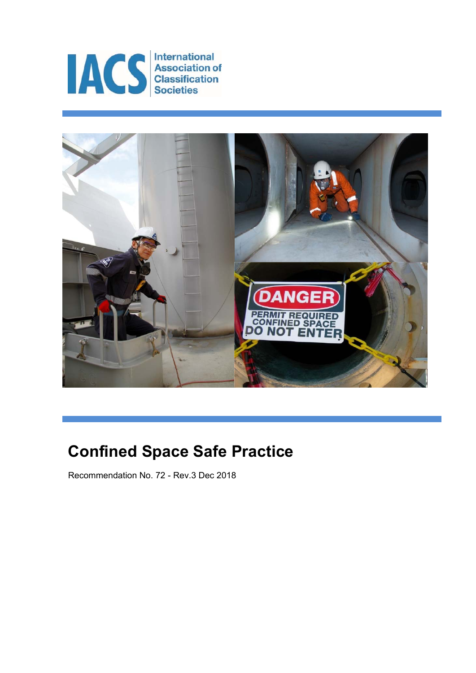



# **Confined Space Safe Practice**

Recommendation No. 72 - Rev.3 Dec 2018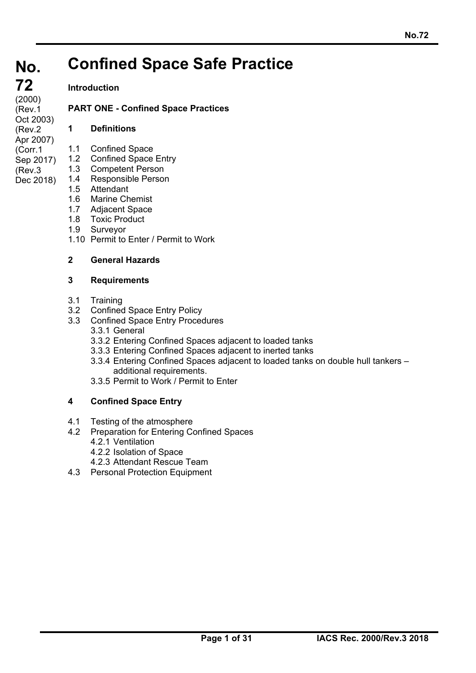#### **No. No. Confined Space Safe Practice**

## **Introduction**

**PART ONE - Confined Space Practices** 

## **1 Definitions**

- - 1.1 Confined Space
	- 1.2 Confined Space Entry
		- 1.3 Competent Person
		- 1.4 Responsible Person
			- 1.5 Attendant
			- 1.6 Marine Chemist
			- 1.7 Adjacent Space
			- 1.8 Toxic Product
			- 1.9 Surveyor
			- 1.10 Permit to Enter / Permit to Work

### **2 General Hazards**

#### **3 Requirements**

3.1 Training

ı

- 3.2 Confined Space Entry Policy
- 3.3 Confined Space Entry Procedures 3.3.1 General
	- 3.3.2 Entering Confined Spaces adjacent to loaded tanks
	- 3.3.3 Entering Confined Spaces adjacent to inerted tanks
	- 3.3.4 Entering Confined Spaces adjacent to loaded tanks on double hull tankers additional requirements.
	- 3.3.5 Permit to Work / Permit to Enter

# **4 Confined Space Entry**

- 4.1 Testing of the atmosphere
- 4.2 Preparation for Entering Confined Spaces
	- 4.2.1 Ventilation
	- 4.2.2 Isolation of Space
- 4.2.3 Attendant Rescue Team
- 4.3 Personal Protection Equipment

#### **72 72**   $(2000)$ (Rev.1 Oct 2003) (Rev.2 Apr 2007) (Corr.1 Sep 2017) (Rev.3

Dec 2018)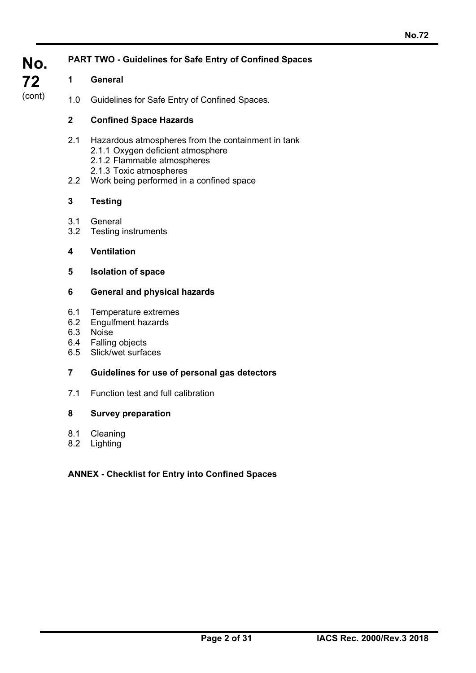| No.    | <b>PART TWO - Guidelines for Safe Entry of Confined Spaces</b> |                                                                                                                        |  |  |  |
|--------|----------------------------------------------------------------|------------------------------------------------------------------------------------------------------------------------|--|--|--|
| 72     | 1                                                              | <b>General</b>                                                                                                         |  |  |  |
| (cont) | 1.0                                                            | Guidelines for Safe Entry of Confined Spaces.                                                                          |  |  |  |
|        | $\overline{2}$                                                 | <b>Confined Space Hazards</b>                                                                                          |  |  |  |
|        | 2.1                                                            | Hazardous atmospheres from the containment in tank<br>2.1.1 Oxygen deficient atmosphere<br>2.1.2 Flammable atmospheres |  |  |  |
|        | 2.2                                                            | 2.1.3 Toxic atmospheres<br>Work being performed in a confined space                                                    |  |  |  |
|        | 3                                                              | <b>Testing</b>                                                                                                         |  |  |  |
|        | 3.1<br>3.2                                                     | General<br><b>Testing instruments</b>                                                                                  |  |  |  |
|        | 4                                                              | <b>Ventilation</b>                                                                                                     |  |  |  |
|        | 5                                                              | <b>Isolation of space</b>                                                                                              |  |  |  |
|        | 6                                                              | <b>General and physical hazards</b>                                                                                    |  |  |  |
|        | 6.1<br>6.2<br>6.3<br>6.5                                       | Temperature extremes<br>Engulfment hazards<br>Noise<br>6.4 Falling objects<br>Slick/wet surfaces                       |  |  |  |
|        | $\overline{7}$                                                 | Guidelines for use of personal gas detectors                                                                           |  |  |  |
|        | 7.1                                                            | Function test and full calibration                                                                                     |  |  |  |
|        | 8                                                              | <b>Survey preparation</b>                                                                                              |  |  |  |
|        | 8.1<br>8.2                                                     | Cleaning<br>Lighting                                                                                                   |  |  |  |
|        |                                                                | <b>ANNEX - Checklist for Entry into Confined Spaces</b>                                                                |  |  |  |

ı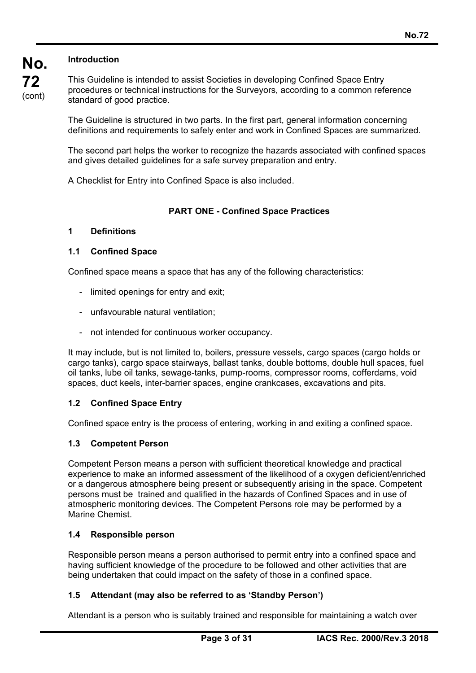## **Introduction**

**No.** 

**72**  (cont) This Guideline is intended to assist Societies in developing Confined Space Entry procedures or technical instructions for the Surveyors, according to a common reference standard of good practice.

The Guideline is structured in two parts. In the first part, general information concerning definitions and requirements to safely enter and work in Confined Spaces are summarized.

The second part helps the worker to recognize the hazards associated with confined spaces and gives detailed guidelines for a safe survey preparation and entry.

A Checklist for Entry into Confined Space is also included.

#### **PART ONE - Confined Space Practices**

#### **1 Definitions**

#### **1.1 Confined Space**

Confined space means a space that has any of the following characteristics:

- limited openings for entry and exit;
- unfavourable natural ventilation;
- not intended for continuous worker occupancy.

It may include, but is not limited to, boilers, pressure vessels, cargo spaces (cargo holds or cargo tanks), cargo space stairways, ballast tanks, double bottoms, double hull spaces, fuel oil tanks, lube oil tanks, sewage-tanks, pump-rooms, compressor rooms, cofferdams, void spaces, duct keels, inter-barrier spaces, engine crankcases, excavations and pits.

#### **1.2 Confined Space Entry**

Confined space entry is the process of entering, working in and exiting a confined space.

#### **1.3 Competent Person**

Competent Person means a person with sufficient theoretical knowledge and practical experience to make an informed assessment of the likelihood of a oxygen deficient/enriched or a dangerous atmosphere being present or subsequently arising in the space. Competent persons must be trained and qualified in the hazards of Confined Spaces and in use of atmospheric monitoring devices. The Competent Persons role may be performed by a Marine Chemist.

#### **1.4 Responsible person**

ı

Responsible person means a person authorised to permit entry into a confined space and having sufficient knowledge of the procedure to be followed and other activities that are being undertaken that could impact on the safety of those in a confined space.

#### **1.5 Attendant (may also be referred to as 'Standby Person')**

Attendant is a person who is suitably trained and responsible for maintaining a watch over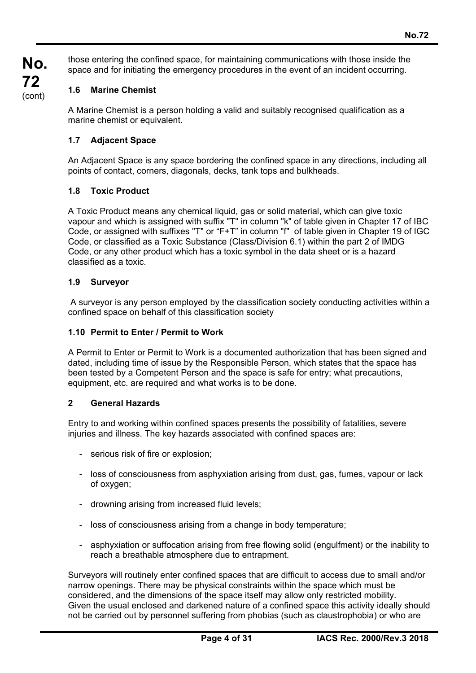those entering the confined space, for maintaining communications with those inside the space and for initiating the emergency procedures in the event of an incident occurring.

#### **1.6 Marine Chemist**

A Marine Chemist is a person holding a valid and suitably recognised qualification as a marine chemist or equivalent.

#### **1.7 Adjacent Space**

An Adjacent Space is any space bordering the confined space in any directions, including all points of contact, corners, diagonals, decks, tank tops and bulkheads.

#### **1.8 Toxic Product**

A Toxic Product means any chemical liquid, gas or solid material, which can give toxic vapour and which is assigned with suffix "T" in column "k" of table given in Chapter 17 of IBC Code, or assigned with suffixes "T" or "F+T" in column "f" of table given in Chapter 19 of IGC Code, or classified as a Toxic Substance (Class/Division 6.1) within the part 2 of IMDG Code, or any other product which has a toxic symbol in the data sheet or is a hazard classified as a toxic.

#### **1.9 Surveyor**

 A surveyor is any person employed by the classification society conducting activities within a confined space on behalf of this classification society

#### **1.10 Permit to Enter / Permit to Work**

A Permit to Enter or Permit to Work is a documented authorization that has been signed and dated, including time of issue by the Responsible Person, which states that the space has been tested by a Competent Person and the space is safe for entry; what precautions, equipment, etc. are required and what works is to be done.

#### **2 General Hazards**

ı

Entry to and working within confined spaces presents the possibility of fatalities, severe injuries and illness. The key hazards associated with confined spaces are:

- serious risk of fire or explosion;
- loss of consciousness from asphyxiation arising from dust, gas, fumes, vapour or lack of oxygen;
- drowning arising from increased fluid levels;
- loss of consciousness arising from a change in body temperature;
- asphyxiation or suffocation arising from free flowing solid (engulfment) or the inability to reach a breathable atmosphere due to entrapment.

Surveyors will routinely enter confined spaces that are difficult to access due to small and/or narrow openings. There may be physical constraints within the space which must be considered, and the dimensions of the space itself may allow only restricted mobility. Given the usual enclosed and darkened nature of a confined space this activity ideally should not be carried out by personnel suffering from phobias (such as claustrophobia) or who are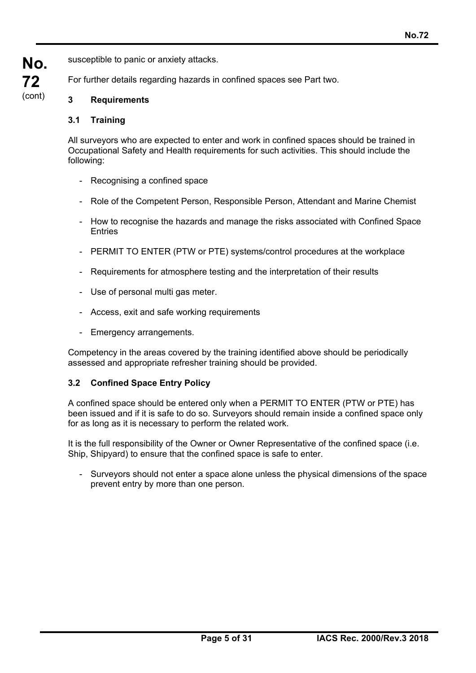susceptible to panic or anxiety attacks.

For further details regarding hazards in confined spaces see Part two.

# **3 Requirements**

## **3.1 Training**

**No.** 

**72**  (cont)

> All surveyors who are expected to enter and work in confined spaces should be trained in Occupational Safety and Health requirements for such activities. This should include the following:

- Recognising a confined space
- Role of the Competent Person, Responsible Person, Attendant and Marine Chemist
- How to recognise the hazards and manage the risks associated with Confined Space **Entries**
- PERMIT TO ENTER (PTW or PTE) systems/control procedures at the workplace
- Requirements for atmosphere testing and the interpretation of their results
- Use of personal multi gas meter.
- Access, exit and safe working requirements
- Emergency arrangements.

Competency in the areas covered by the training identified above should be periodically assessed and appropriate refresher training should be provided.

# **3.2 Confined Space Entry Policy**

ı

A confined space should be entered only when a PERMIT TO ENTER (PTW or PTE) has been issued and if it is safe to do so. Surveyors should remain inside a confined space only for as long as it is necessary to perform the related work.

It is the full responsibility of the Owner or Owner Representative of the confined space (i.e. Ship, Shipyard) to ensure that the confined space is safe to enter.

- Surveyors should not enter a space alone unless the physical dimensions of the space prevent entry by more than one person.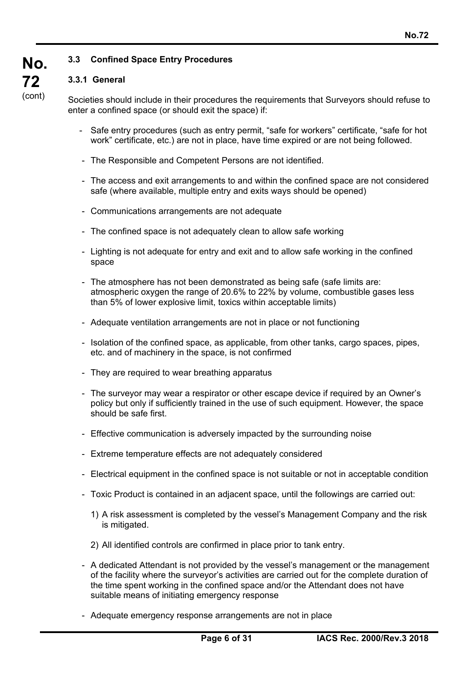#### **3.3 Confined Space Entry Procedures**

#### **3.3.1 General**

**No.** 

**72**  (cont)

ı

Societies should include in their procedures the requirements that Surveyors should refuse to enter a confined space (or should exit the space) if:

- Safe entry procedures (such as entry permit, "safe for workers" certificate, "safe for hot work" certificate, etc.) are not in place, have time expired or are not being followed.
- The Responsible and Competent Persons are not identified.
- The access and exit arrangements to and within the confined space are not considered safe (where available, multiple entry and exits ways should be opened)
- Communications arrangements are not adequate
- The confined space is not adequately clean to allow safe working
- Lighting is not adequate for entry and exit and to allow safe working in the confined space
- The atmosphere has not been demonstrated as being safe (safe limits are: atmospheric oxygen the range of 20.6% to 22% by volume, combustible gases less than 5% of lower explosive limit, toxics within acceptable limits)
- Adequate ventilation arrangements are not in place or not functioning
- Isolation of the confined space, as applicable, from other tanks, cargo spaces, pipes, etc. and of machinery in the space, is not confirmed
- They are required to wear breathing apparatus
- The surveyor may wear a respirator or other escape device if required by an Owner's policy but only if sufficiently trained in the use of such equipment. However, the space should be safe first.
- Effective communication is adversely impacted by the surrounding noise
- Extreme temperature effects are not adequately considered
- Electrical equipment in the confined space is not suitable or not in acceptable condition
- Toxic Product is contained in an adjacent space, until the followings are carried out:
	- 1) A risk assessment is completed by the vessel's Management Company and the risk is mitigated.
	- 2) All identified controls are confirmed in place prior to tank entry.
- A dedicated Attendant is not provided by the vessel's management or the management of the facility where the surveyor's activities are carried out for the complete duration of the time spent working in the confined space and/or the Attendant does not have suitable means of initiating emergency response
- Adequate emergency response arrangements are not in place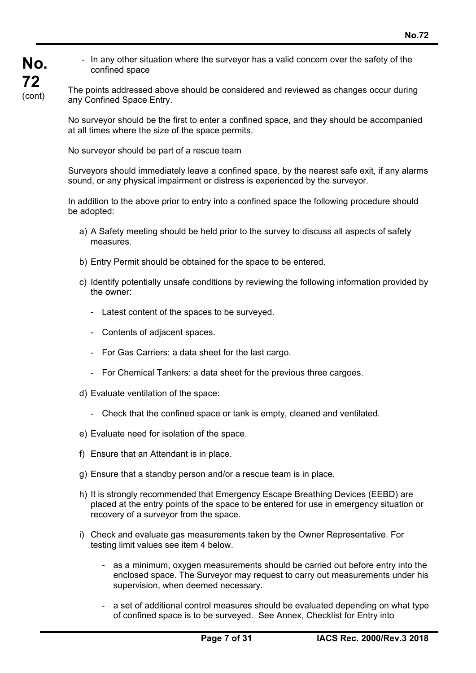- **No. 72**  (cont)
- In any other situation where the surveyor has a valid concern over the safety of the confined space

The points addressed above should be considered and reviewed as changes occur during any Confined Space Entry.

No surveyor should be the first to enter a confined space, and they should be accompanied at all times where the size of the space permits.

No surveyor should be part of a rescue team

Surveyors should immediately leave a confined space, by the nearest safe exit, if any alarms sound, or any physical impairment or distress is experienced by the surveyor.

In addition to the above prior to entry into a confined space the following procedure should be adopted:

- a) A Safety meeting should be held prior to the survey to discuss all aspects of safety measures.
- b) Entry Permit should be obtained for the space to be entered.
- c) Identify potentially unsafe conditions by reviewing the following information provided by the owner:
	- Latest content of the spaces to be surveyed.
	- Contents of adjacent spaces.
	- For Gas Carriers: a data sheet for the last cargo.
	- For Chemical Tankers: a data sheet for the previous three cargoes.
- d) Evaluate ventilation of the space:
	- Check that the confined space or tank is empty, cleaned and ventilated.
- e) Evaluate need for isolation of the space.
- f) Ensure that an Attendant is in place.

ı

- g) Ensure that a standby person and/or a rescue team is in place.
- h) It is strongly recommended that Emergency Escape Breathing Devices (EEBD) are placed at the entry points of the space to be entered for use in emergency situation or recovery of a surveyor from the space.
- i) Check and evaluate gas measurements taken by the Owner Representative. For testing limit values see item 4 below.
	- as a minimum, oxygen measurements should be carried out before entry into the enclosed space. The Surveyor may request to carry out measurements under his supervision, when deemed necessary.
	- a set of additional control measures should be evaluated depending on what type of confined space is to be surveyed. See Annex, Checklist for Entry into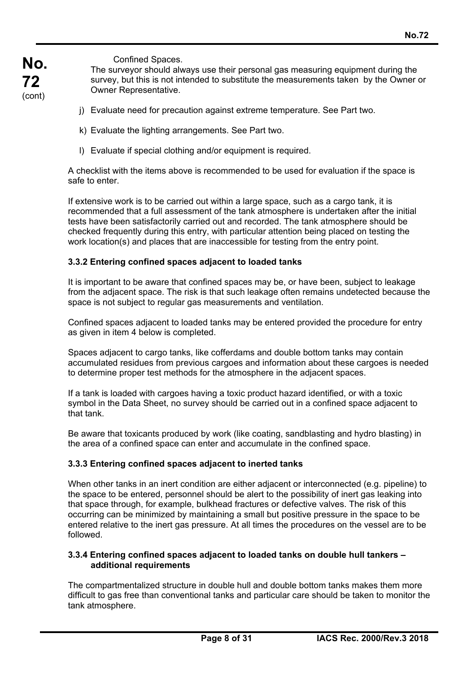**No. 72**  (cont)

ı

Confined Spaces.

 The surveyor should always use their personal gas measuring equipment during the survey, but this is not intended to substitute the measurements taken by the Owner or Owner Representative.

- j) Evaluate need for precaution against extreme temperature. See Part two.
- k) Evaluate the lighting arrangements. See Part two.
- l) Evaluate if special clothing and/or equipment is required.

A checklist with the items above is recommended to be used for evaluation if the space is safe to enter

If extensive work is to be carried out within a large space, such as a cargo tank, it is recommended that a full assessment of the tank atmosphere is undertaken after the initial tests have been satisfactorily carried out and recorded. The tank atmosphere should be checked frequently during this entry, with particular attention being placed on testing the work location(s) and places that are inaccessible for testing from the entry point.

#### **3.3.2 Entering confined spaces adjacent to loaded tanks**

It is important to be aware that confined spaces may be, or have been, subject to leakage from the adjacent space. The risk is that such leakage often remains undetected because the space is not subject to regular gas measurements and ventilation.

Confined spaces adjacent to loaded tanks may be entered provided the procedure for entry as given in item 4 below is completed.

Spaces adjacent to cargo tanks, like cofferdams and double bottom tanks may contain accumulated residues from previous cargoes and information about these cargoes is needed to determine proper test methods for the atmosphere in the adjacent spaces.

If a tank is loaded with cargoes having a toxic product hazard identified, or with a toxic symbol in the Data Sheet, no survey should be carried out in a confined space adjacent to that tank.

Be aware that toxicants produced by work (like coating, sandblasting and hydro blasting) in the area of a confined space can enter and accumulate in the confined space.

#### **3.3.3 Entering confined spaces adjacent to inerted tanks**

When other tanks in an inert condition are either adjacent or interconnected (e.g. pipeline) to the space to be entered, personnel should be alert to the possibility of inert gas leaking into that space through, for example, bulkhead fractures or defective valves. The risk of this occurring can be minimized by maintaining a small but positive pressure in the space to be entered relative to the inert gas pressure. At all times the procedures on the vessel are to be followed.

#### **3.3.4 Entering confined spaces adjacent to loaded tanks on double hull tankers – additional requirements**

The compartmentalized structure in double hull and double bottom tanks makes them more difficult to gas free than conventional tanks and particular care should be taken to monitor the tank atmosphere.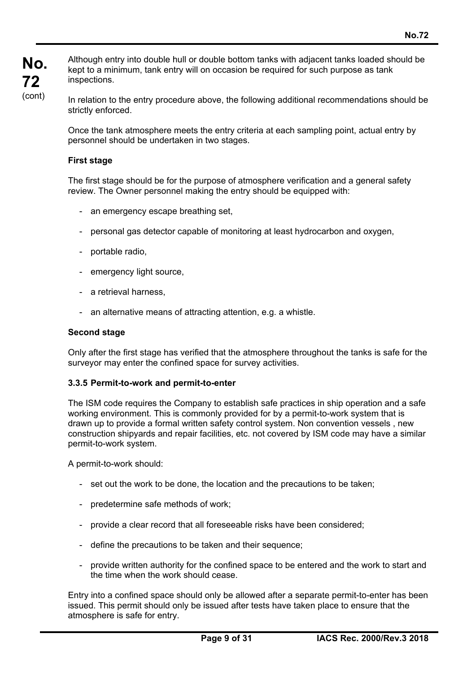Although entry into double hull or double bottom tanks with adjacent tanks loaded should be kept to a minimum, tank entry will on occasion be required for such purpose as tank inspections.

In relation to the entry procedure above, the following additional recommendations should be strictly enforced.

Once the tank atmosphere meets the entry criteria at each sampling point, actual entry by personnel should be undertaken in two stages.

#### **First stage**

The first stage should be for the purpose of atmosphere verification and a general safety review. The Owner personnel making the entry should be equipped with:

- an emergency escape breathing set,
- personal gas detector capable of monitoring at least hydrocarbon and oxygen,
- portable radio,
- emergency light source,
- a retrieval harness,
- an alternative means of attracting attention, e.g. a whistle.

#### **Second stage**

Only after the first stage has verified that the atmosphere throughout the tanks is safe for the surveyor may enter the confined space for survey activities.

#### **3.3.5 Permit-to-work and permit-to-enter**

The ISM code requires the Company to establish safe practices in ship operation and a safe working environment. This is commonly provided for by a permit-to-work system that is drawn up to provide a formal written safety control system. Non convention vessels , new construction shipyards and repair facilities, etc. not covered by ISM code may have a similar permit-to-work system.

A permit-to-work should:

ı

- set out the work to be done, the location and the precautions to be taken;
- predetermine safe methods of work;
- provide a clear record that all foreseeable risks have been considered;
- define the precautions to be taken and their sequence;
- provide written authority for the confined space to be entered and the work to start and the time when the work should cease.

Entry into a confined space should only be allowed after a separate permit-to-enter has been issued. This permit should only be issued after tests have taken place to ensure that the atmosphere is safe for entry.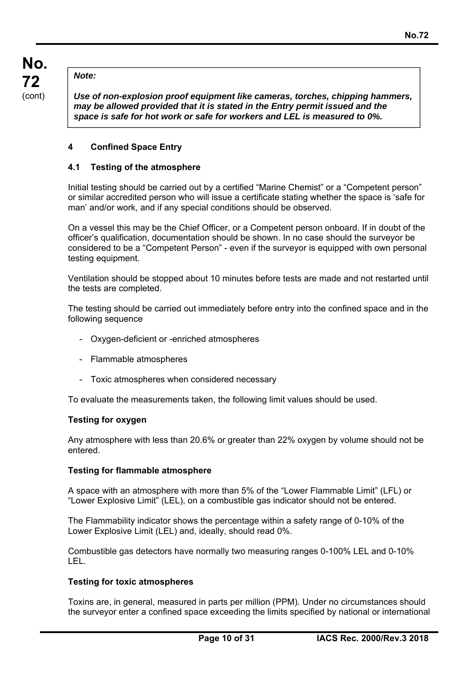#### *Note:*

*Use of non-explosion proof equipment like cameras, torches, chipping hammers, may be allowed provided that it is stated in the Entry permit issued and the space is safe for hot work or safe for workers and LEL is measured to 0%.* 

#### **4 Confined Space Entry**

#### **4.1 Testing of the atmosphere**

Initial testing should be carried out by a certified "Marine Chemist" or a "Competent person" or similar accredited person who will issue a certificate stating whether the space is 'safe for man' and/or work, and if any special conditions should be observed.

On a vessel this may be the Chief Officer, or a Competent person onboard. If in doubt of the officer's qualification, documentation should be shown. In no case should the surveyor be considered to be a "Competent Person" - even if the surveyor is equipped with own personal testing equipment.

Ventilation should be stopped about 10 minutes before tests are made and not restarted until the tests are completed.

The testing should be carried out immediately before entry into the confined space and in the following sequence

- Oxygen-deficient or -enriched atmospheres
- Flammable atmospheres
- Toxic atmospheres when considered necessary

To evaluate the measurements taken, the following limit values should be used.

#### **Testing for oxygen**

Any atmosphere with less than 20.6% or greater than 22% oxygen by volume should not be entered.

#### **Testing for flammable atmosphere**

A space with an atmosphere with more than 5% of the "Lower Flammable Limit" (LFL) or "Lower Explosive Limit" (LEL), on a combustible gas indicator should not be entered.

The Flammability indicator shows the percentage within a safety range of 0-10% of the Lower Explosive Limit (LEL) and, ideally, should read 0%.

Combustible gas detectors have normally two measuring ranges 0-100% LEL and 0-10% LEL.

#### **Testing for toxic atmospheres**

ı

Toxins are, in general, measured in parts per million (PPM). Under no circumstances should the surveyor enter a confined space exceeding the limits specified by national or international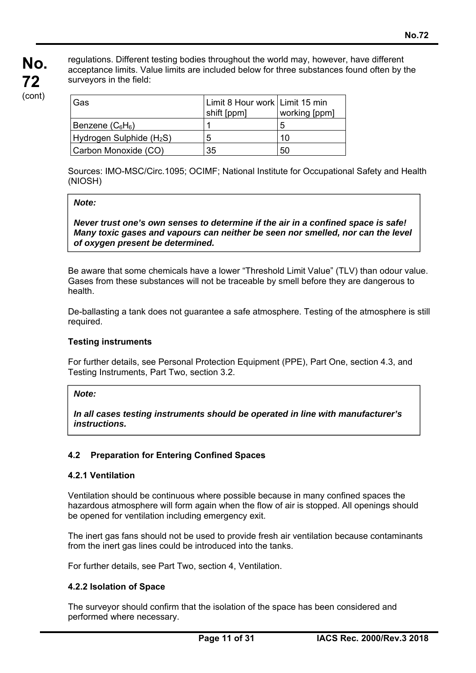regulations. Different testing bodies throughout the world may, however, have different acceptance limits. Value limits are included below for three substances found often by the surveyors in the field:

| l Gas                                  | Limit 8 Hour work Limit 15 min<br>shift [ppm] | working [ppm] |
|----------------------------------------|-----------------------------------------------|---------------|
| Benzene ( $\mathrm{C}_6\mathrm{H}_6$ ) |                                               | 5             |
| $Hydrogen$ Sulphide $(H2S)$            | 5                                             | 10            |
| Carbon Monoxide (CO)                   | 35                                            | 50            |

Sources: IMO-MSC/Circ.1095; OCIMF; National Institute for Occupational Safety and Health (NIOSH)

#### *Note:*

*Never trust one's own senses to determine if the air in a confined space is safe! Many toxic gases and vapours can neither be seen nor smelled, nor can the level of oxygen present be determined.*

Be aware that some chemicals have a lower "Threshold Limit Value" (TLV) than odour value. Gases from these substances will not be traceable by smell before they are dangerous to health.

De-ballasting a tank does not guarantee a safe atmosphere. Testing of the atmosphere is still required.

#### **Testing instruments**

For further details, see Personal Protection Equipment (PPE), Part One, section 4.3, and Testing Instruments, Part Two, section 3.2.

#### *Note:*

*In all cases testing instruments should be operated in line with manufacturer's instructions.* 

#### **4.2 Preparation for Entering Confined Spaces**

#### **4.2.1 Ventilation**

Ventilation should be continuous where possible because in many confined spaces the hazardous atmosphere will form again when the flow of air is stopped. All openings should be opened for ventilation including emergency exit.

The inert gas fans should not be used to provide fresh air ventilation because contaminants from the inert gas lines could be introduced into the tanks.

For further details, see Part Two, section 4, Ventilation.

#### **4.2.2 Isolation of Space**

ı

The surveyor should confirm that the isolation of the space has been considered and performed where necessary.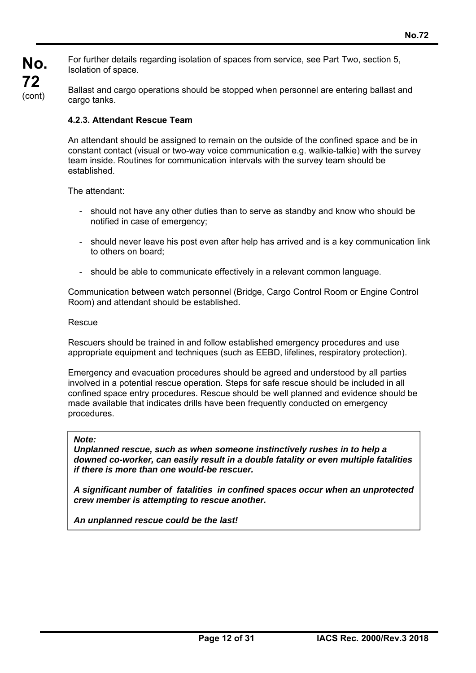For further details regarding isolation of spaces from service, see Part Two, section 5, Isolation of space.

Ballast and cargo operations should be stopped when personnel are entering ballast and cargo tanks.

#### **4.2.3. Attendant Rescue Team**

An attendant should be assigned to remain on the outside of the confined space and be in constant contact (visual or two-way voice communication e.g. walkie-talkie) with the survey team inside. Routines for communication intervals with the survey team should be established.

The attendant:

- should not have any other duties than to serve as standby and know who should be notified in case of emergency;
- should never leave his post even after help has arrived and is a key communication link to others on board;
- should be able to communicate effectively in a relevant common language.

Communication between watch personnel (Bridge, Cargo Control Room or Engine Control Room) and attendant should be established.

#### Rescue

Rescuers should be trained in and follow established emergency procedures and use appropriate equipment and techniques (such as EEBD, lifelines, respiratory protection).

Emergency and evacuation procedures should be agreed and understood by all parties involved in a potential rescue operation. Steps for safe rescue should be included in all confined space entry procedures. Rescue should be well planned and evidence should be made available that indicates drills have been frequently conducted on emergency procedures.

#### *Note:*

ı

*Unplanned rescue, such as when someone instinctively rushes in to help a downed co-worker, can easily result in a double fatality or even multiple fatalities if there is more than one would-be rescuer.* 

*A significant number of fatalities in confined spaces occur when an unprotected crew member is attempting to rescue another.* 

*An unplanned rescue could be the last!*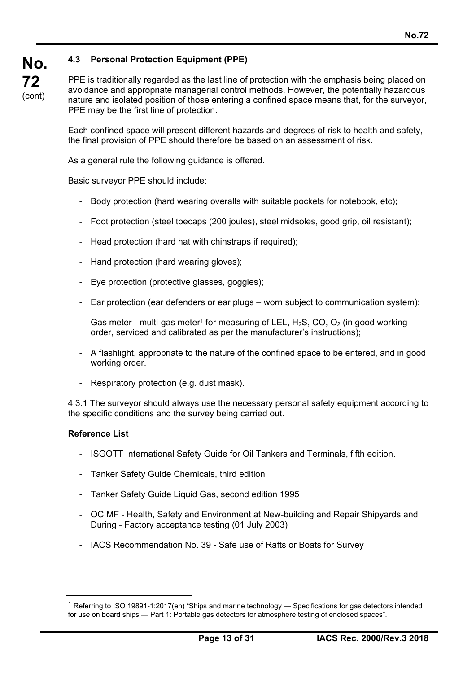PPE is traditionally regarded as the last line of protection with the emphasis being placed on avoidance and appropriate managerial control methods. However, the potentially hazardous nature and isolated position of those entering a confined space means that, for the surveyor, PPE may be the first line of protection.

Each confined space will present different hazards and degrees of risk to health and safety, the final provision of PPE should therefore be based on an assessment of risk.

As a general rule the following guidance is offered.

Basic surveyor PPE should include:

- Body protection (hard wearing overalls with suitable pockets for notebook, etc);
- Foot protection (steel toecaps (200 joules), steel midsoles, good grip, oil resistant);
- Head protection (hard hat with chinstraps if required);
- Hand protection (hard wearing gloves);
- Eye protection (protective glasses, goggles);
- Ear protection (ear defenders or ear plugs worn subject to communication system);
- Gas meter multi-gas meter<sup>1</sup> for measuring of LEL,  $H_2S$ , CO, O<sub>2</sub> (in good working order, serviced and calibrated as per the manufacturer's instructions);
- A flashlight, appropriate to the nature of the confined space to be entered, and in good working order.
- Respiratory protection (e.g. dust mask).

4.3.1 The surveyor should always use the necessary personal safety equipment according to the specific conditions and the survey being carried out.

#### **Reference List**

ı

- ISGOTT International Safety Guide for Oil Tankers and Terminals, fifth edition.
- Tanker Safety Guide Chemicals, third edition
- Tanker Safety Guide Liquid Gas, second edition 1995
- OCIMF Health, Safety and Environment at New-building and Repair Shipyards and During - Factory acceptance testing (01 July 2003)
- IACS Recommendation No. 39 Safe use of Rafts or Boats for Survey

<sup>&</sup>lt;sup>1</sup> Referring to ISO 19891-1:2017(en) "Ships and marine technology — Specifications for gas detectors intended for use on board ships — Part 1: Portable gas detectors for atmosphere testing of enclosed spaces".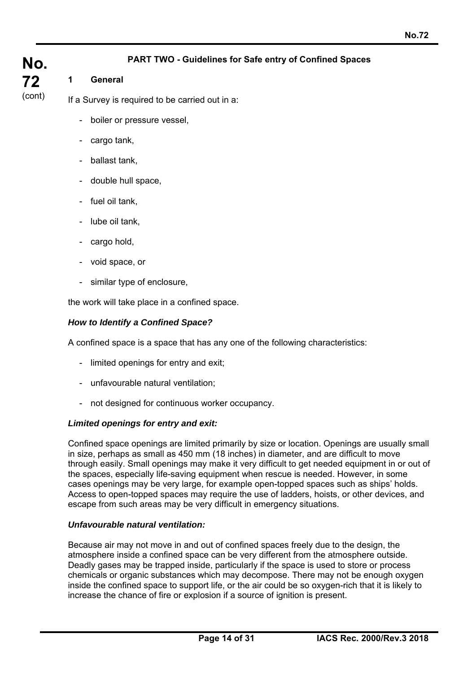## **PART TWO - Guidelines for Safe entry of Confined Spaces**

# **No. 72**  (cont)

### **1 General**

If a Survey is required to be carried out in a:

- boiler or pressure vessel,
- cargo tank,
- ballast tank,
- double hull space,
- fuel oil tank,
- lube oil tank,
- cargo hold,
- void space, or
- similar type of enclosure,

the work will take place in a confined space.

#### *How to Identify a Confined Space?*

A confined space is a space that has any one of the following characteristics:

- limited openings for entry and exit;
- unfavourable natural ventilation;
- not designed for continuous worker occupancy.

#### *Limited openings for entry and exit:*

Confined space openings are limited primarily by size or location. Openings are usually small in size, perhaps as small as 450 mm (18 inches) in diameter, and are difficult to move through easily. Small openings may make it very difficult to get needed equipment in or out of the spaces, especially life-saving equipment when rescue is needed. However, in some cases openings may be very large, for example open-topped spaces such as ships' holds. Access to open-topped spaces may require the use of ladders, hoists, or other devices, and escape from such areas may be very difficult in emergency situations.

#### *Unfavourable natural ventilation:*

ı

Because air may not move in and out of confined spaces freely due to the design, the atmosphere inside a confined space can be very different from the atmosphere outside. Deadly gases may be trapped inside, particularly if the space is used to store or process chemicals or organic substances which may decompose. There may not be enough oxygen inside the confined space to support life, or the air could be so oxygen-rich that it is likely to increase the chance of fire or explosion if a source of ignition is present.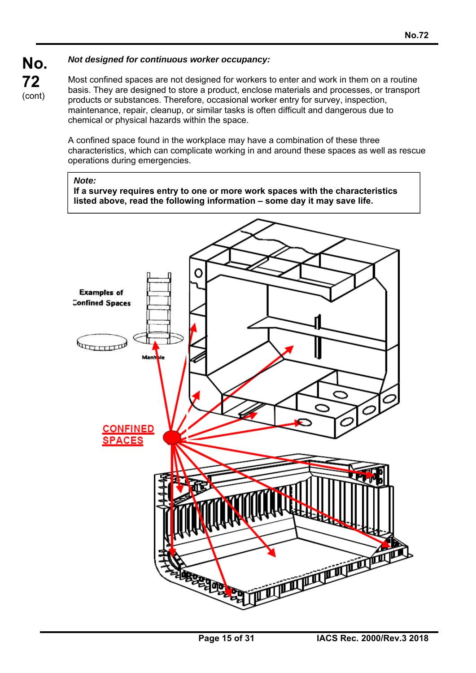## *Not designed for continuous worker occupancy:*

**No. 72**  (cont)

Most confined spaces are not designed for workers to enter and work in them on a routine basis. They are designed to store a product, enclose materials and processes, or transport products or substances. Therefore, occasional worker entry for survey, inspection, maintenance, repair, cleanup, or similar tasks is often difficult and dangerous due to chemical or physical hazards within the space.

A confined space found in the workplace may have a combination of these three characteristics, which can complicate working in and around these spaces as well as rescue operations during emergencies.

#### *Note:*

ı

**If a survey requires entry to one or more work spaces with the characteristics listed above, read the following information – some day it may save life.** 

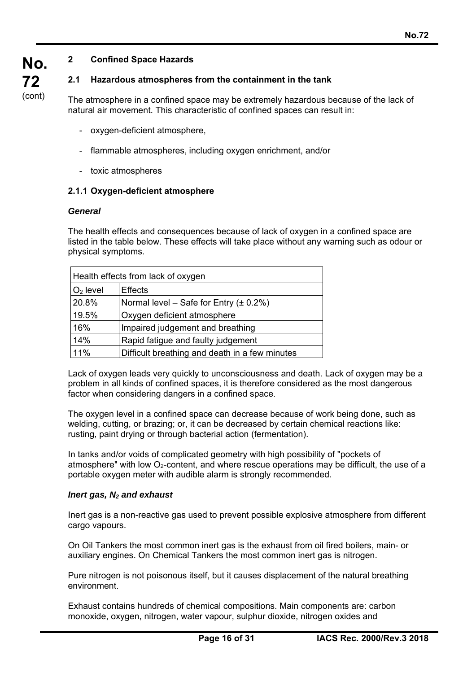## **2 Confined Space Hazards**

#### **2.1 Hazardous atmospheres from the containment in the tank**

The atmosphere in a confined space may be extremely hazardous because of the lack of natural air movement. This characteristic of confined spaces can result in:

- oxygen-deficient atmosphere,
- flammable atmospheres, including oxygen enrichment, and/or
- toxic atmospheres

#### **2.1.1 Oxygen-deficient atmosphere**

#### *General*

**No.** 

**72**  (cont)

> The health effects and consequences because of lack of oxygen in a confined space are listed in the table below. These effects will take place without any warning such as odour or physical symptoms.

| Health effects from lack of oxygen |                                                |  |
|------------------------------------|------------------------------------------------|--|
| $O2$ level                         | <b>Effects</b>                                 |  |
| 20.8%                              | Normal level – Safe for Entry $(\pm 0.2\%)$    |  |
| 19.5%                              | Oxygen deficient atmosphere                    |  |
| 16%                                | Impaired judgement and breathing               |  |
| 14%                                | Rapid fatigue and faulty judgement             |  |
| 11%                                | Difficult breathing and death in a few minutes |  |

Lack of oxygen leads very quickly to unconsciousness and death. Lack of oxygen may be a problem in all kinds of confined spaces, it is therefore considered as the most dangerous factor when considering dangers in a confined space.

The oxygen level in a confined space can decrease because of work being done, such as welding, cutting, or brazing; or, it can be decreased by certain chemical reactions like: rusting, paint drying or through bacterial action (fermentation).

In tanks and/or voids of complicated geometry with high possibility of "pockets of atmosphere" with low  $O<sub>2</sub>$ -content, and where rescue operations may be difficult, the use of a portable oxygen meter with audible alarm is strongly recommended.

#### *Inert gas, N2 and exhaust*

ı

Inert gas is a non-reactive gas used to prevent possible explosive atmosphere from different cargo vapours.

On Oil Tankers the most common inert gas is the exhaust from oil fired boilers, main- or auxiliary engines. On Chemical Tankers the most common inert gas is nitrogen.

Pure nitrogen is not poisonous itself, but it causes displacement of the natural breathing environment.

Exhaust contains hundreds of chemical compositions. Main components are: carbon monoxide, oxygen, nitrogen, water vapour, sulphur dioxide, nitrogen oxides and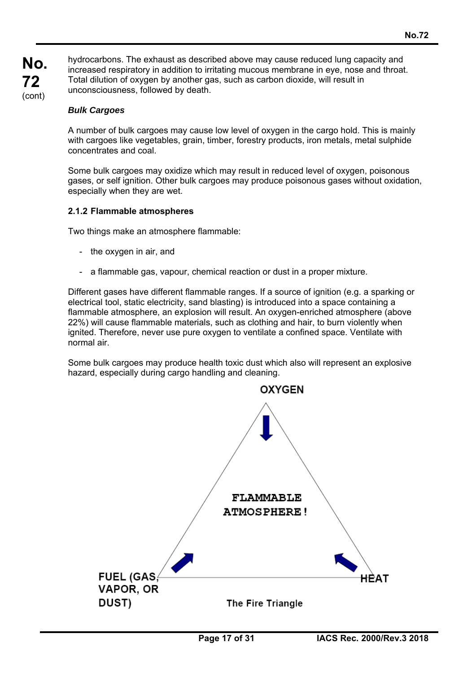hydrocarbons. The exhaust as described above may cause reduced lung capacity and increased respiratory in addition to irritating mucous membrane in eye, nose and throat. Total dilution of oxygen by another gas, such as carbon dioxide, will result in unconsciousness, followed by death.

#### *Bulk Cargoes*

ı

A number of bulk cargoes may cause low level of oxygen in the cargo hold. This is mainly with cargoes like vegetables, grain, timber, forestry products, iron metals, metal sulphide concentrates and coal.

Some bulk cargoes may oxidize which may result in reduced level of oxygen, poisonous gases, or self ignition. Other bulk cargoes may produce poisonous gases without oxidation, especially when they are wet.

#### **2.1.2 Flammable atmospheres**

Two things make an atmosphere flammable:

- the oxygen in air, and
- a flammable gas, vapour, chemical reaction or dust in a proper mixture.

Different gases have different flammable ranges. If a source of ignition (e.g. a sparking or electrical tool, static electricity, sand blasting) is introduced into a space containing a flammable atmosphere, an explosion will result. An oxygen-enriched atmosphere (above 22%) will cause flammable materials, such as clothing and hair, to burn violently when ignited. Therefore, never use pure oxygen to ventilate a confined space. Ventilate with normal air.

Some bulk cargoes may produce health toxic dust which also will represent an explosive hazard, especially during cargo handling and cleaning.

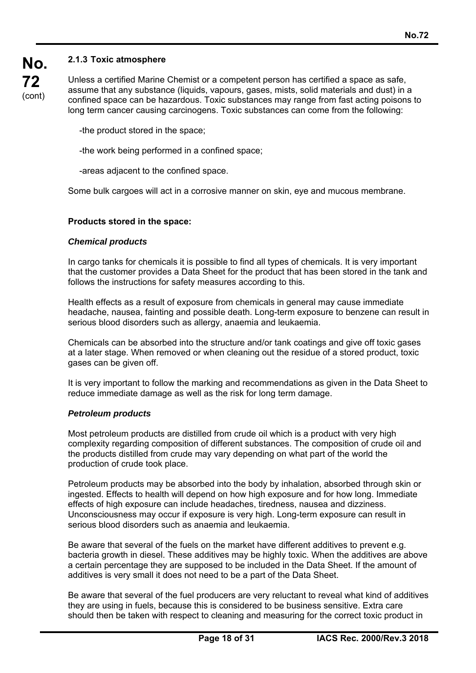### **2.1.3 Toxic atmosphere**

**No.** 

**72**  (cont) Unless a certified Marine Chemist or a competent person has certified a space as safe, assume that any substance (liquids, vapours, gases, mists, solid materials and dust) in a confined space can be hazardous. Toxic substances may range from fast acting poisons to long term cancer causing carcinogens. Toxic substances can come from the following:

-the product stored in the space;

-the work being performed in a confined space;

-areas adjacent to the confined space.

Some bulk cargoes will act in a corrosive manner on skin, eye and mucous membrane.

#### **Products stored in the space:**

#### *Chemical products*

In cargo tanks for chemicals it is possible to find all types of chemicals. It is very important that the customer provides a Data Sheet for the product that has been stored in the tank and follows the instructions for safety measures according to this.

Health effects as a result of exposure from chemicals in general may cause immediate headache, nausea, fainting and possible death. Long-term exposure to benzene can result in serious blood disorders such as allergy, anaemia and leukaemia.

Chemicals can be absorbed into the structure and/or tank coatings and give off toxic gases at a later stage. When removed or when cleaning out the residue of a stored product, toxic gases can be given off.

It is very important to follow the marking and recommendations as given in the Data Sheet to reduce immediate damage as well as the risk for long term damage.

#### *Petroleum products*

ı

Most petroleum products are distilled from crude oil which is a product with very high complexity regarding composition of different substances. The composition of crude oil and the products distilled from crude may vary depending on what part of the world the production of crude took place.

Petroleum products may be absorbed into the body by inhalation, absorbed through skin or ingested. Effects to health will depend on how high exposure and for how long. Immediate effects of high exposure can include headaches, tiredness, nausea and dizziness. Unconsciousness may occur if exposure is very high. Long-term exposure can result in serious blood disorders such as anaemia and leukaemia.

Be aware that several of the fuels on the market have different additives to prevent e.g. bacteria growth in diesel. These additives may be highly toxic. When the additives are above a certain percentage they are supposed to be included in the Data Sheet. If the amount of additives is very small it does not need to be a part of the Data Sheet.

Be aware that several of the fuel producers are very reluctant to reveal what kind of additives they are using in fuels, because this is considered to be business sensitive. Extra care should then be taken with respect to cleaning and measuring for the correct toxic product in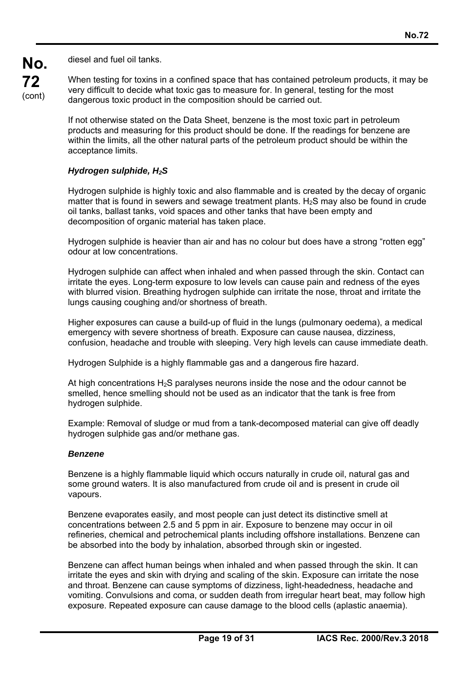diesel and fuel oil tanks.

**No.** 

**72**  (cont) When testing for toxins in a confined space that has contained petroleum products, it may be very difficult to decide what toxic gas to measure for. In general, testing for the most dangerous toxic product in the composition should be carried out.

If not otherwise stated on the Data Sheet, benzene is the most toxic part in petroleum products and measuring for this product should be done. If the readings for benzene are within the limits, all the other natural parts of the petroleum product should be within the acceptance limits.

#### *Hydrogen sulphide, H2S*

Hydrogen sulphide is highly toxic and also flammable and is created by the decay of organic matter that is found in sewers and sewage treatment plants.  $H_2S$  may also be found in crude oil tanks, ballast tanks, void spaces and other tanks that have been empty and decomposition of organic material has taken place.

Hydrogen sulphide is heavier than air and has no colour but does have a strong "rotten egg" odour at low concentrations.

Hydrogen sulphide can affect when inhaled and when passed through the skin. Contact can irritate the eyes. Long-term exposure to low levels can cause pain and redness of the eyes with blurred vision. Breathing hydrogen sulphide can irritate the nose, throat and irritate the lungs causing coughing and/or shortness of breath.

Higher exposures can cause a build-up of fluid in the lungs (pulmonary oedema), a medical emergency with severe shortness of breath. Exposure can cause nausea, dizziness, confusion, headache and trouble with sleeping. Very high levels can cause immediate death.

Hydrogen Sulphide is a highly flammable gas and a dangerous fire hazard.

At high concentrations  $H_2S$  paralyses neurons inside the nose and the odour cannot be smelled, hence smelling should not be used as an indicator that the tank is free from hydrogen sulphide.

Example: Removal of sludge or mud from a tank-decomposed material can give off deadly hydrogen sulphide gas and/or methane gas.

#### *Benzene*

ı

Benzene is a highly flammable liquid which occurs naturally in crude oil, natural gas and some ground waters. It is also manufactured from crude oil and is present in crude oil vapours.

Benzene evaporates easily, and most people can just detect its distinctive smell at concentrations between 2.5 and 5 ppm in air. Exposure to benzene may occur in oil refineries, chemical and petrochemical plants including offshore installations. Benzene can be absorbed into the body by inhalation, absorbed through skin or ingested.

Benzene can affect human beings when inhaled and when passed through the skin. It can irritate the eyes and skin with drying and scaling of the skin. Exposure can irritate the nose and throat. Benzene can cause symptoms of dizziness, light-headedness, headache and vomiting. Convulsions and coma, or sudden death from irregular heart beat, may follow high exposure. Repeated exposure can cause damage to the blood cells (aplastic anaemia).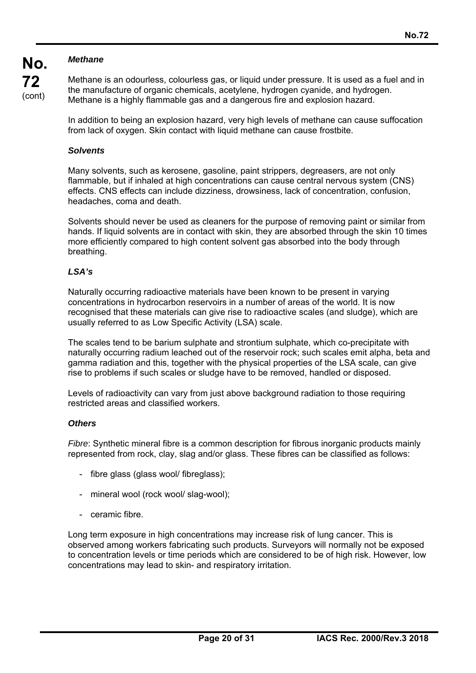## *Methane*

**No.** 

**72**  (cont) Methane is an odourless, colourless gas, or liquid under pressure. It is used as a fuel and in the manufacture of organic chemicals, acetylene, hydrogen cyanide, and hydrogen. Methane is a highly flammable gas and a dangerous fire and explosion hazard.

In addition to being an explosion hazard, very high levels of methane can cause suffocation from lack of oxygen. Skin contact with liquid methane can cause frostbite.

#### *Solvents*

Many solvents, such as kerosene, gasoline, paint strippers, degreasers, are not only flammable, but if inhaled at high concentrations can cause central nervous system (CNS) effects. CNS effects can include dizziness, drowsiness, lack of concentration, confusion, headaches, coma and death.

Solvents should never be used as cleaners for the purpose of removing paint or similar from hands. If liquid solvents are in contact with skin, they are absorbed through the skin 10 times more efficiently compared to high content solvent gas absorbed into the body through breathing.

#### *LSA's*

Naturally occurring radioactive materials have been known to be present in varying concentrations in hydrocarbon reservoirs in a number of areas of the world. It is now recognised that these materials can give rise to radioactive scales (and sludge), which are usually referred to as Low Specific Activity (LSA) scale.

The scales tend to be barium sulphate and strontium sulphate, which co-precipitate with naturally occurring radium leached out of the reservoir rock; such scales emit alpha, beta and gamma radiation and this, together with the physical properties of the LSA scale, can give rise to problems if such scales or sludge have to be removed, handled or disposed.

Levels of radioactivity can vary from just above background radiation to those requiring restricted areas and classified workers.

#### *Others*

ı

*Fibre*: Synthetic mineral fibre is a common description for fibrous inorganic products mainly represented from rock, clay, slag and/or glass. These fibres can be classified as follows:

- fibre glass (glass wool/ fibreglass);
- mineral wool (rock wool/ slag-wool);
- ceramic fibre.

Long term exposure in high concentrations may increase risk of lung cancer. This is observed among workers fabricating such products. Surveyors will normally not be exposed to concentration levels or time periods which are considered to be of high risk. However, low concentrations may lead to skin- and respiratory irritation.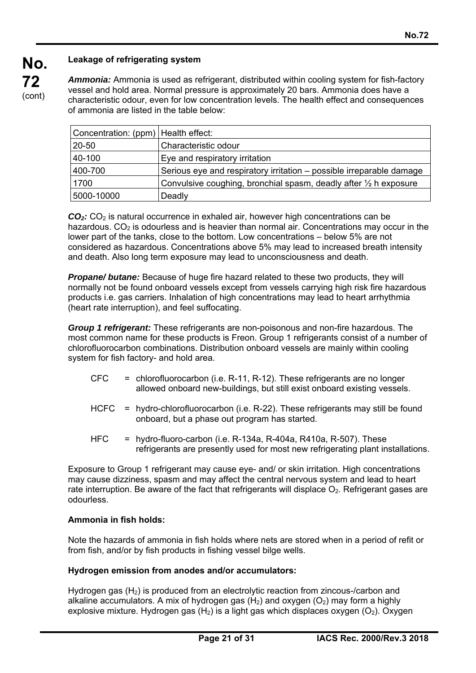# **Leakage of refrigerating system**

**No.** 

**72**  (cont) *Ammonia:* Ammonia is used as refrigerant, distributed within cooling system for fish-factory vessel and hold area. Normal pressure is approximately 20 bars. Ammonia does have a characteristic odour, even for low concentration levels. The health effect and consequences of ammonia are listed in the table below:

| Concentration: (ppm)   Health effect: |                                                                             |
|---------------------------------------|-----------------------------------------------------------------------------|
| 20-50                                 | Characteristic odour                                                        |
| 40-100                                | Eye and respiratory irritation                                              |
| 400-700                               | Serious eye and respiratory irritation – possible irreparable damage        |
| 1700                                  | Convulsive coughing, bronchial spasm, deadly after $\frac{1}{2}$ h exposure |
| 5000-10000                            | Deadly                                                                      |

 $CO<sub>2</sub>$ :  $CO<sub>2</sub>$  is natural occurrence in exhaled air, however high concentrations can be hazardous.  $CO<sub>2</sub>$  is odourless and is heavier than normal air. Concentrations may occur in the lower part of the tanks, close to the bottom. Low concentrations – below 5% are not considered as hazardous. Concentrations above 5% may lead to increased breath intensity and death. Also long term exposure may lead to unconsciousness and death.

*Propane/ butane:* Because of huge fire hazard related to these two products, they will normally not be found onboard vessels except from vessels carrying high risk fire hazardous products i.e. gas carriers. Inhalation of high concentrations may lead to heart arrhythmia (heart rate interruption), and feel suffocating.

*Group 1 refrigerant:* These refrigerants are non-poisonous and non-fire hazardous. The most common name for these products is Freon. Group 1 refrigerants consist of a number of chlorofluorocarbon combinations. Distribution onboard vessels are mainly within cooling system for fish factory- and hold area.

- $CFC$  = chlorofluorocarbon (i.e. R-11, R-12). These refrigerants are no longer allowed onboard new-buildings, but still exist onboard existing vessels.
- HCFC = hydro-chlorofluorocarbon (i.e. R-22). These refrigerants may still be found onboard, but a phase out program has started.
- HFC  $=$  hydro-fluoro-carbon (i.e. R-134a, R-404a, R410a, R-507). These refrigerants are presently used for most new refrigerating plant installations.

Exposure to Group 1 refrigerant may cause eye- and/ or skin irritation. High concentrations may cause dizziness, spasm and may affect the central nervous system and lead to heart rate interruption. Be aware of the fact that refrigerants will displace  $O<sub>2</sub>$ . Refrigerant gases are odourless.

#### **Ammonia in fish holds:**

ı

Note the hazards of ammonia in fish holds where nets are stored when in a period of refit or from fish, and/or by fish products in fishing vessel bilge wells.

#### **Hydrogen emission from anodes and/or accumulators:**

Hydrogen gas  $(H<sub>2</sub>)$  is produced from an electrolytic reaction from zincous-/carbon and alkaline accumulators. A mix of hydrogen gas  $(H_2)$  and oxygen  $(O_2)$  may form a highly explosive mixture. Hydrogen gas  $(H<sub>2</sub>)$  is a light gas which displaces oxygen  $(O<sub>2</sub>)$ . Oxygen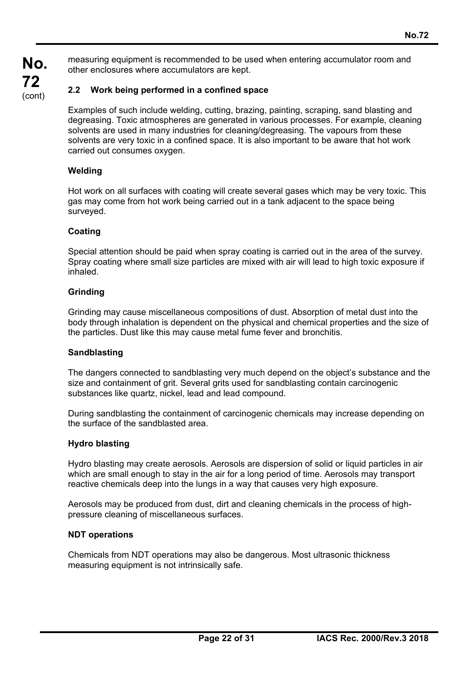**No. 72**  (cont)

measuring equipment is recommended to be used when entering accumulator room and other enclosures where accumulators are kept.

## **2.2 Work being performed in a confined space**

Examples of such include welding, cutting, brazing, painting, scraping, sand blasting and degreasing. Toxic atmospheres are generated in various processes. For example, cleaning solvents are used in many industries for cleaning/degreasing. The vapours from these solvents are very toxic in a confined space. It is also important to be aware that hot work carried out consumes oxygen.

#### **Welding**

Hot work on all surfaces with coating will create several gases which may be very toxic. This gas may come from hot work being carried out in a tank adjacent to the space being surveved.

#### **Coating**

Special attention should be paid when spray coating is carried out in the area of the survey. Spray coating where small size particles are mixed with air will lead to high toxic exposure if inhaled.

#### **Grinding**

Grinding may cause miscellaneous compositions of dust. Absorption of metal dust into the body through inhalation is dependent on the physical and chemical properties and the size of the particles. Dust like this may cause metal fume fever and bronchitis.

#### **Sandblasting**

The dangers connected to sandblasting very much depend on the object's substance and the size and containment of grit. Several grits used for sandblasting contain carcinogenic substances like quartz, nickel, lead and lead compound.

During sandblasting the containment of carcinogenic chemicals may increase depending on the surface of the sandblasted area.

#### **Hydro blasting**

Hydro blasting may create aerosols. Aerosols are dispersion of solid or liquid particles in air which are small enough to stay in the air for a long period of time. Aerosols may transport reactive chemicals deep into the lungs in a way that causes very high exposure.

Aerosols may be produced from dust, dirt and cleaning chemicals in the process of highpressure cleaning of miscellaneous surfaces.

#### **NDT operations**

ı

Chemicals from NDT operations may also be dangerous. Most ultrasonic thickness measuring equipment is not intrinsically safe.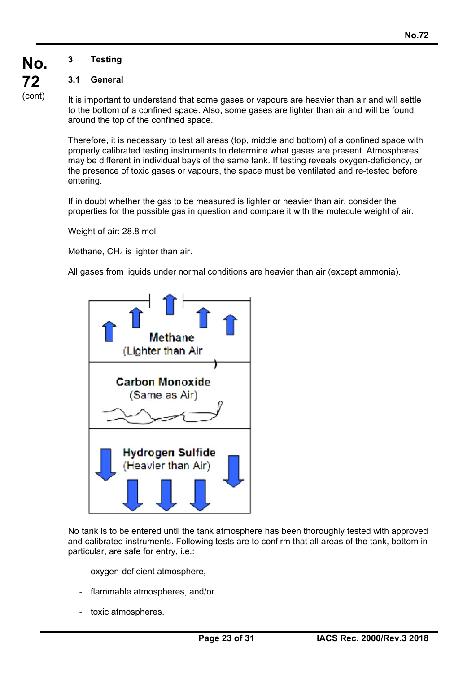# **3 Testing**

**No.** 

**72**  (cont)

#### **3.1 General**

It is important to understand that some gases or vapours are heavier than air and will settle to the bottom of a confined space. Also, some gases are lighter than air and will be found around the top of the confined space.

Therefore, it is necessary to test all areas (top, middle and bottom) of a confined space with properly calibrated testing instruments to determine what gases are present. Atmospheres may be different in individual bays of the same tank. If testing reveals oxygen-deficiency, or the presence of toxic gases or vapours, the space must be ventilated and re-tested before entering.

If in doubt whether the gas to be measured is lighter or heavier than air, consider the properties for the possible gas in question and compare it with the molecule weight of air.

Weight of air: 28.8 mol

Methane,  $CH<sub>4</sub>$  is lighter than air.

All gases from liquids under normal conditions are heavier than air (except ammonia).



No tank is to be entered until the tank atmosphere has been thoroughly tested with approved and calibrated instruments. Following tests are to confirm that all areas of the tank, bottom in particular, are safe for entry, i.e.:

- oxygen-deficient atmosphere,
- flammable atmospheres, and/or
- toxic atmospheres.

ı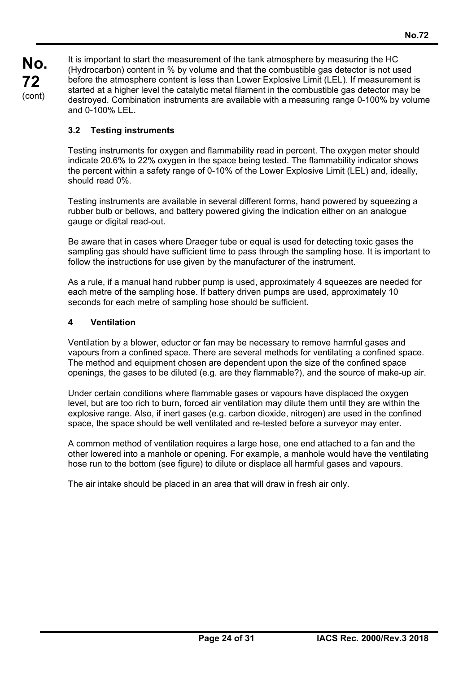**No. 72**  (cont)

It is important to start the measurement of the tank atmosphere by measuring the HC (Hydrocarbon) content in % by volume and that the combustible gas detector is not used before the atmosphere content is less than Lower Explosive Limit (LEL). If measurement is started at a higher level the catalytic metal filament in the combustible gas detector may be destroyed. Combination instruments are available with a measuring range 0-100% by volume and 0-100% LEL.

# **3.2 Testing instruments**

Testing instruments for oxygen and flammability read in percent. The oxygen meter should indicate 20.6% to 22% oxygen in the space being tested. The flammability indicator shows the percent within a safety range of 0-10% of the Lower Explosive Limit (LEL) and, ideally, should read 0%.

Testing instruments are available in several different forms, hand powered by squeezing a rubber bulb or bellows, and battery powered giving the indication either on an analogue gauge or digital read-out.

Be aware that in cases where Draeger tube or equal is used for detecting toxic gases the sampling gas should have sufficient time to pass through the sampling hose. It is important to follow the instructions for use given by the manufacturer of the instrument.

As a rule, if a manual hand rubber pump is used, approximately 4 squeezes are needed for each metre of the sampling hose. If battery driven pumps are used, approximately 10 seconds for each metre of sampling hose should be sufficient.

# **4 Ventilation**

ı

Ventilation by a blower, eductor or fan may be necessary to remove harmful gases and vapours from a confined space. There are several methods for ventilating a confined space. The method and equipment chosen are dependent upon the size of the confined space openings, the gases to be diluted (e.g. are they flammable?), and the source of make-up air.

Under certain conditions where flammable gases or vapours have displaced the oxygen level, but are too rich to burn, forced air ventilation may dilute them until they are within the explosive range. Also, if inert gases (e.g. carbon dioxide, nitrogen) are used in the confined space, the space should be well ventilated and re-tested before a surveyor may enter.

A common method of ventilation requires a large hose, one end attached to a fan and the other lowered into a manhole or opening. For example, a manhole would have the ventilating hose run to the bottom (see figure) to dilute or displace all harmful gases and vapours.

The air intake should be placed in an area that will draw in fresh air only.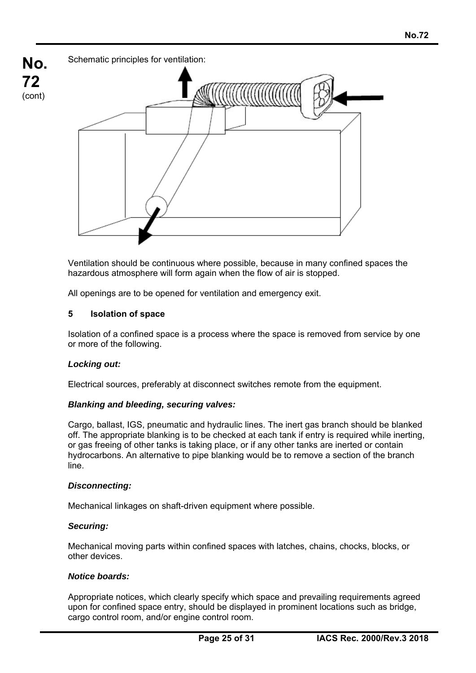

Ventilation should be continuous where possible, because in many confined spaces the hazardous atmosphere will form again when the flow of air is stopped.

All openings are to be opened for ventilation and emergency exit.

#### **5 Isolation of space**

Isolation of a confined space is a process where the space is removed from service by one or more of the following.

#### *Locking out:*

Electrical sources, preferably at disconnect switches remote from the equipment.

#### *Blanking and bleeding, securing valves:*

Cargo, ballast, IGS, pneumatic and hydraulic lines. The inert gas branch should be blanked off. The appropriate blanking is to be checked at each tank if entry is required while inerting, or gas freeing of other tanks is taking place, or if any other tanks are inerted or contain hydrocarbons. An alternative to pipe blanking would be to remove a section of the branch line.

#### *Disconnecting:*

Mechanical linkages on shaft-driven equipment where possible.

#### *Securing:*

ı

Mechanical moving parts within confined spaces with latches, chains, chocks, blocks, or other devices.

#### *Notice boards:*

Appropriate notices, which clearly specify which space and prevailing requirements agreed upon for confined space entry, should be displayed in prominent locations such as bridge, cargo control room, and/or engine control room.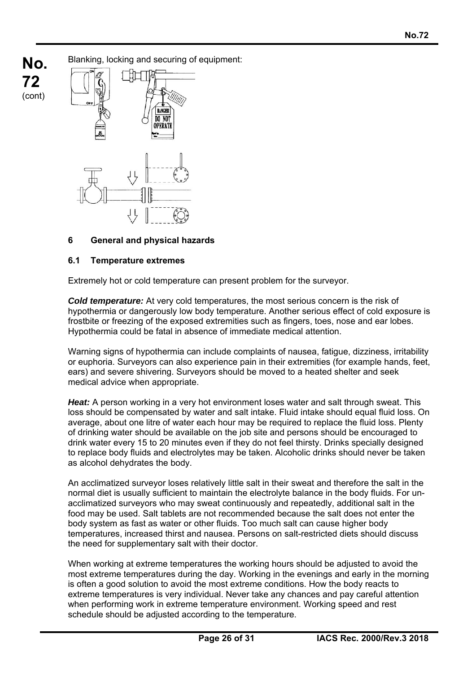**No. 72**  (cont)

Blanking, locking and securing of equipment:



#### **6 General and physical hazards**

#### **6.1 Temperature extremes**

ı

Extremely hot or cold temperature can present problem for the surveyor.

*Cold temperature:* At very cold temperatures, the most serious concern is the risk of hypothermia or dangerously low body temperature. Another serious effect of cold exposure is frostbite or freezing of the exposed extremities such as fingers, toes, nose and ear lobes. Hypothermia could be fatal in absence of immediate medical attention.

Warning signs of hypothermia can include complaints of nausea, fatigue, dizziness, irritability or euphoria. Surveyors can also experience pain in their extremities (for example hands, feet, ears) and severe shivering. Surveyors should be moved to a heated shelter and seek medical advice when appropriate.

*Heat:* A person working in a very hot environment loses water and salt through sweat. This loss should be compensated by water and salt intake. Fluid intake should equal fluid loss. On average, about one litre of water each hour may be required to replace the fluid loss. Plenty of drinking water should be available on the job site and persons should be encouraged to drink water every 15 to 20 minutes even if they do not feel thirsty. Drinks specially designed to replace body fluids and electrolytes may be taken. Alcoholic drinks should never be taken as alcohol dehydrates the body.

An acclimatized surveyor loses relatively little salt in their sweat and therefore the salt in the normal diet is usually sufficient to maintain the electrolyte balance in the body fluids. For unacclimatized surveyors who may sweat continuously and repeatedly, additional salt in the food may be used. Salt tablets are not recommended because the salt does not enter the body system as fast as water or other fluids. Too much salt can cause higher body temperatures, increased thirst and nausea. Persons on salt-restricted diets should discuss the need for supplementary salt with their doctor.

When working at extreme temperatures the working hours should be adjusted to avoid the most extreme temperatures during the day. Working in the evenings and early in the morning is often a good solution to avoid the most extreme conditions. How the body reacts to extreme temperatures is very individual. Never take any chances and pay careful attention when performing work in extreme temperature environment. Working speed and rest schedule should be adjusted according to the temperature.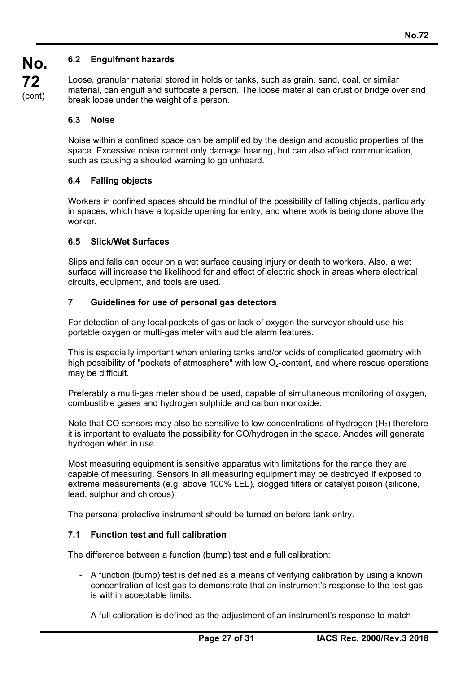## **6.2 Engulfment hazards**

Loose, granular material stored in holds or tanks, such as grain, sand, coal, or similar material, can engulf and suffocate a person. The loose material can crust or bridge over and break loose under the weight of a person.

#### **6.3 Noise**

Noise within a confined space can be amplified by the design and acoustic properties of the space. Excessive noise cannot only damage hearing, but can also affect communication, such as causing a shouted warning to go unheard.

#### **6.4 Falling objects**

Workers in confined spaces should be mindful of the possibility of falling objects, particularly in spaces, which have a topside opening for entry, and where work is being done above the worker.

#### **6.5 Slick/Wet Surfaces**

Slips and falls can occur on a wet surface causing injury or death to workers. Also, a wet surface will increase the likelihood for and effect of electric shock in areas where electrical circuits, equipment, and tools are used.

#### **7 Guidelines for use of personal gas detectors**

For detection of any local pockets of gas or lack of oxygen the surveyor should use his portable oxygen or multi-gas meter with audible alarm features.

This is especially important when entering tanks and/or voids of complicated geometry with high possibility of "pockets of atmosphere" with low  $O<sub>2</sub>$ -content, and where rescue operations may be difficult.

Preferably a multi-gas meter should be used, capable of simultaneous monitoring of oxygen, combustible gases and hydrogen sulphide and carbon monoxide.

Note that CO sensors may also be sensitive to low concentrations of hydrogen  $(H<sub>2</sub>)$  therefore it is important to evaluate the possibility for CO/hydrogen in the space. Anodes will generate hydrogen when in use.

Most measuring equipment is sensitive apparatus with limitations for the range they are capable of measuring. Sensors in all measuring equipment may be destroyed if exposed to extreme measurements (e.g. above 100% LEL), clogged filters or catalyst poison (silicone, lead, sulphur and chlorous)

The personal protective instrument should be turned on before tank entry.

#### **7.1 Function test and full calibration**

ı

The difference between a function (bump) test and a full calibration:

- A function (bump) test is defined as a means of verifying calibration by using a known concentration of test gas to demonstrate that an instrument's response to the test gas is within acceptable limits.
- A full calibration is defined as the adjustment of an instrument's response to match

(cont)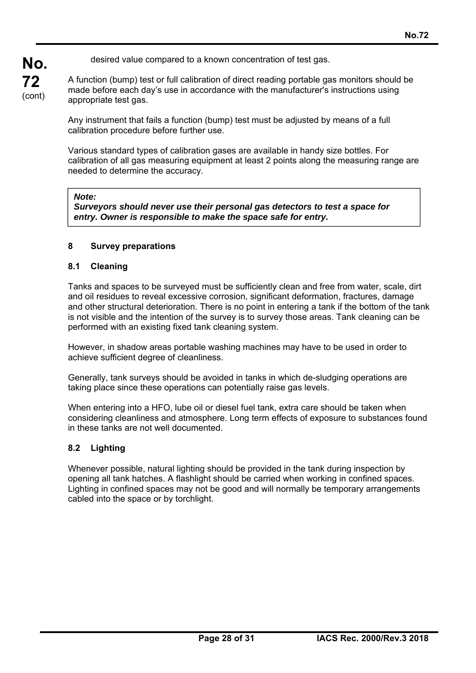desired value compared to a known concentration of test gas.

A function (bump) test or full calibration of direct reading portable gas monitors should be made before each day's use in accordance with the manufacturer's instructions using appropriate test gas.

Any instrument that fails a function (bump) test must be adjusted by means of a full calibration procedure before further use.

Various standard types of calibration gases are available in handy size bottles. For calibration of all gas measuring equipment at least 2 points along the measuring range are needed to determine the accuracy.

#### *Note:*

**No.** 

**72**  (cont)

> *Surveyors should never use their personal gas detectors to test a space for entry. Owner is responsible to make the space safe for entry.*

#### **8 Survey preparations**

#### **8.1 Cleaning**

Tanks and spaces to be surveyed must be sufficiently clean and free from water, scale, dirt and oil residues to reveal excessive corrosion, significant deformation, fractures, damage and other structural deterioration. There is no point in entering a tank if the bottom of the tank is not visible and the intention of the survey is to survey those areas. Tank cleaning can be performed with an existing fixed tank cleaning system.

However, in shadow areas portable washing machines may have to be used in order to achieve sufficient degree of cleanliness.

Generally, tank surveys should be avoided in tanks in which de-sludging operations are taking place since these operations can potentially raise gas levels.

When entering into a HFO, lube oil or diesel fuel tank, extra care should be taken when considering cleanliness and atmosphere. Long term effects of exposure to substances found in these tanks are not well documented.

#### **8.2 Lighting**

ı

Whenever possible, natural lighting should be provided in the tank during inspection by opening all tank hatches. A flashlight should be carried when working in confined spaces. Lighting in confined spaces may not be good and will normally be temporary arrangements cabled into the space or by torchlight.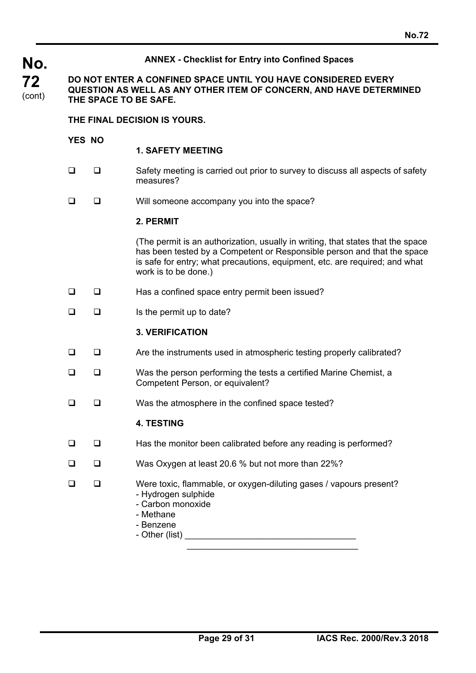# **No.72 No. 72**  (cont) **ANNEX - Checklist for Entry into Confined Spaces DO NOT ENTER A CONFINED SPACE UNTIL YOU HAVE CONSIDERED EVERY QUESTION AS WELL AS ANY OTHER ITEM OF CONCERN, AND HAVE DETERMINED THE SPACE TO BE SAFE. THE FINAL DECISION IS YOURS. YES NO 1. SAFETY MEETING**   $\square$   $\square$  Safety meeting is carried out prior to survey to discuss all aspects of safety measures?  $\Box$   $\Box$  Will someone accompany you into the space? **2. PERMIT**  (The permit is an authorization, usually in writing, that states that the space has been tested by a Competent or Responsible person and that the space is safe for entry; what precautions, equipment, etc. are required; and what work is to be done.)  $\Box$   $\Box$  Has a confined space entry permit been issued?  $\Box$  Is the permit up to date? **3. VERIFICATION**   $\Box$   $\Box$  Are the instruments used in atmospheric testing properly calibrated?  $\Box$   $\Box$  Was the person performing the tests a certified Marine Chemist, a Competent Person, or equivalent?  $\Box$   $\Box$  Was the atmosphere in the confined space tested? **4. TESTING**   $\Box$   $\Box$  Has the monitor been calibrated before any reading is performed? □ □ Was Oxygen at least 20.6 % but not more than 22%? □ □ Were toxic, flammable, or oxygen-diluting gases / vapours present? - Hydrogen sulphide - Carbon monoxide - Methane - Benzene - Other (list) \_\_\_\_\_\_\_\_\_\_\_\_\_\_\_\_\_\_\_\_\_\_\_\_\_\_\_\_\_\_\_\_\_\_\_ \_\_\_\_\_\_\_\_\_\_\_\_\_\_\_\_\_\_\_\_\_\_\_\_\_\_\_\_\_\_\_\_\_\_\_

ı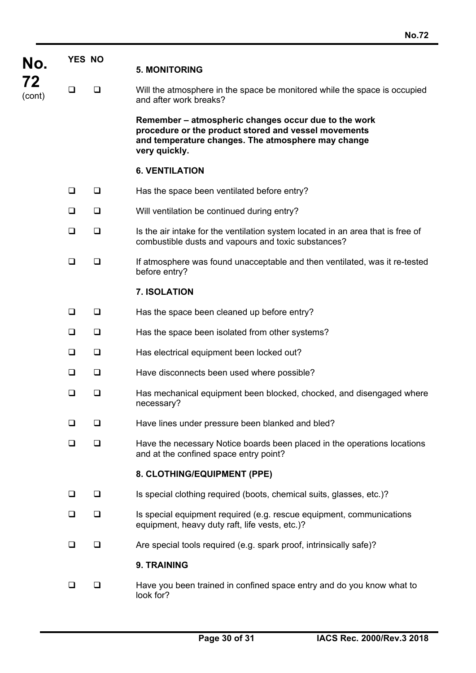| No.<br>72<br>(cont) | YES NO |        | <b>5. MONITORING</b>                                                                                                                                                                |
|---------------------|--------|--------|-------------------------------------------------------------------------------------------------------------------------------------------------------------------------------------|
|                     | □      | □      | Will the atmosphere in the space be monitored while the space is occupied<br>and after work breaks?                                                                                 |
|                     |        |        | Remember – atmospheric changes occur due to the work<br>procedure or the product stored and vessel movements<br>and temperature changes. The atmosphere may change<br>very quickly. |
|                     |        |        | <b>6. VENTILATION</b>                                                                                                                                                               |
|                     | □      | □      | Has the space been ventilated before entry?                                                                                                                                         |
|                     | □      | $\Box$ | Will ventilation be continued during entry?                                                                                                                                         |
|                     | $\Box$ | $\Box$ | Is the air intake for the ventilation system located in an area that is free of<br>combustible dusts and vapours and toxic substances?                                              |
|                     | □      | ❏      | If atmosphere was found unacceptable and then ventilated, was it re-tested<br>before entry?                                                                                         |
|                     |        |        | 7. ISOLATION                                                                                                                                                                        |
|                     | ❏      | ❏      | Has the space been cleaned up before entry?                                                                                                                                         |
|                     | $\Box$ | ❏      | Has the space been isolated from other systems?                                                                                                                                     |
|                     | $\Box$ | ❏      | Has electrical equipment been locked out?                                                                                                                                           |
|                     | □      | ❏      | Have disconnects been used where possible?                                                                                                                                          |
|                     | □      | ❏      | Has mechanical equipment been blocked, chocked, and disengaged where<br>necessary?                                                                                                  |
|                     | □      | ◻      | Have lines under pressure been blanked and bled?                                                                                                                                    |
|                     | ❏      | ❏      | Have the necessary Notice boards been placed in the operations locations<br>and at the confined space entry point?                                                                  |
|                     |        |        | 8. CLOTHING/EQUIPMENT (PPE)                                                                                                                                                         |
|                     | □      | □      | Is special clothing required (boots, chemical suits, glasses, etc.)?                                                                                                                |
|                     | $\Box$ | $\Box$ | Is special equipment required (e.g. rescue equipment, communications<br>equipment, heavy duty raft, life vests, etc.)?                                                              |
|                     | □      | ❏      | Are special tools required (e.g. spark proof, intrinsically safe)?                                                                                                                  |
|                     |        |        | 9. TRAINING                                                                                                                                                                         |
|                     | □      | □      | Have you been trained in confined space entry and do you know what to<br>look for?                                                                                                  |

ı